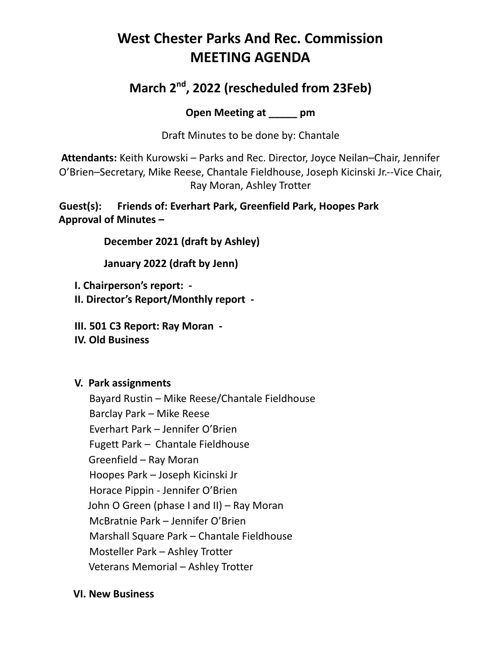## **West Chester Parks And Rec. Commission MEETING AGENDA**

## **March 2 nd , 2022 (rescheduled from 23Feb)**

**Open Meeting at \_\_\_\_\_ pm**

Draft Minutes to be done by: Chantale

**Attendants:** Keith Kurowski – Parks and Rec. Director, Joyce Neilan–Chair, Jennifer O'Brien–Secretary, Mike Reese, Chantale Fieldhouse, Joseph Kicinski Jr.--Vice Chair, Ray Moran, Ashley Trotter

**Guest(s): Friends of: Everhart Park, Greenfield Park, Hoopes Park Approval of Minutes –**

**December 2021 (draft by Ashley)**

**January 2022 (draft by Jenn)**

**I. Chairperson's report: -**

**II. Director's Report/Monthly report -**

**III. 501 C3 Report: Ray Moran -**

**IV. Old Business**

## **V. Park assignments**

Bayard Rustin – Mike Reese/Chantale Fieldhouse Barclay Park – Mike Reese Everhart Park – Jennifer O'Brien Fugett Park – Chantale Fieldhouse Greenfield – Ray Moran Hoopes Park – Joseph Kicinski Jr Horace Pippin - Jennifer O'Brien John O Green (phase I and II) – Ray Moran McBratnie Park – Jennifer O'Brien Marshall Square Park – Chantale Fieldhouse Mosteller Park – Ashley Trotter Veterans Memorial – Ashley Trotter

## **VI. New Business**